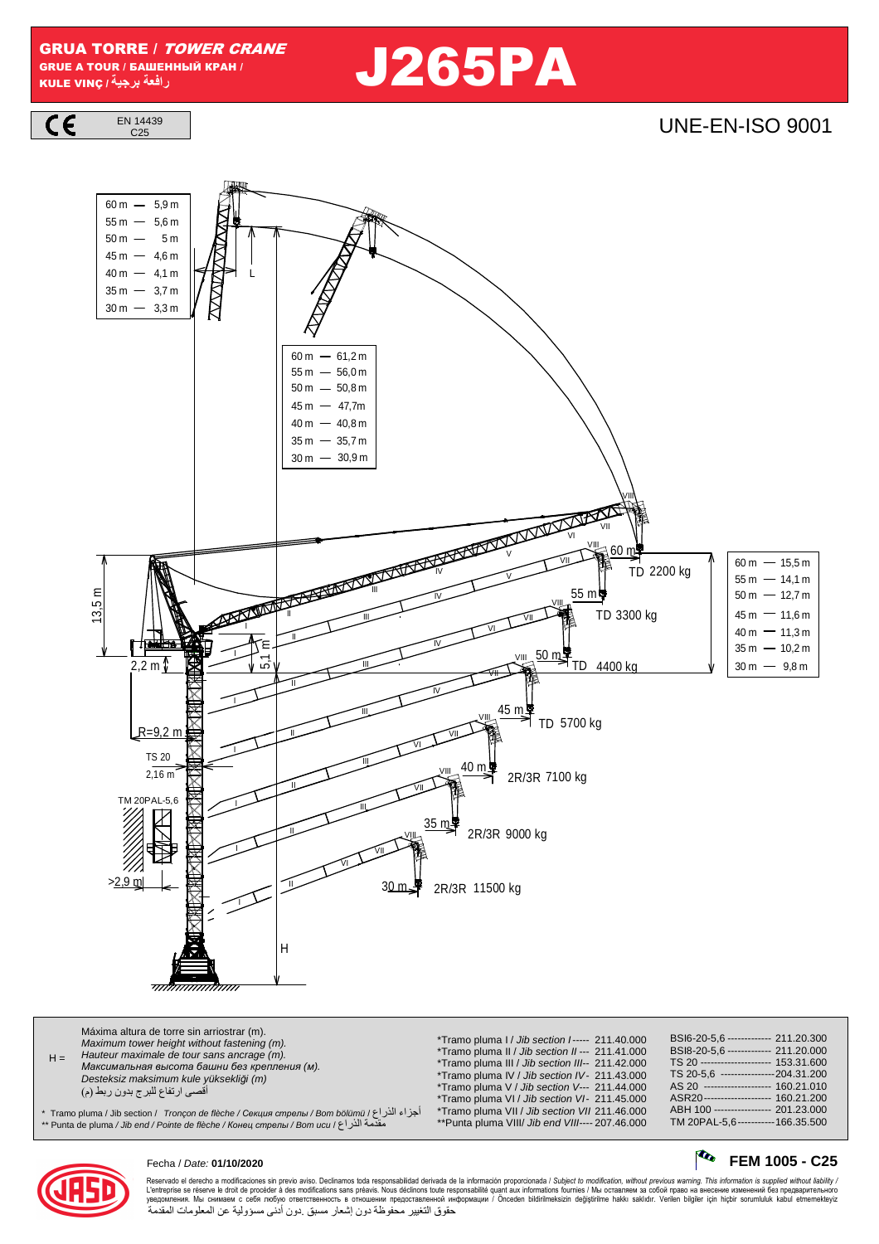GRUA TORRE / TOWER CRANE GRUE A TOUR / БАШЕННЫЙ КРАН / GRUA TORRE / *TOWER CRANE*<br>GRUE A TOUR / БАШЕННЫЙ КРАН / **1998 / 1999 / 1999 / 1999 / 1999 / 1999 / 1999 / 1999** 



## $\frac{144439}{C25}$



| Máxima altura de torre sin arriostrar (m).<br>Maximum tower height without fastening (m).<br>Hauteur maximale de tour sans ancrage (m).<br>$H =$<br>Максимальная высота башни без крепления (м).<br>Desteksiz maksimum kule yüksekliği (m)<br>أقصى ارتفاع للبرج بدون ربط (م)<br>اجزاء الذراع / Tramo pluma / Jib section /   Tronçon de flèche / Секция стрелы / Bom bölümü / أجزاء الذراع<br>مقدمة الذر اع / Punta de pluma / Jib end / Pointe de flèche / Конец стрелы / Bom ucu / ۴ * | *Tramo pluma I / Jib section I----- 211.40.000<br>*Tramo pluma II / Jib section II--- 211.41.000<br>*Tramo pluma III / Jib section III-- 211.42.000<br>*Tramo pluma IV / Jib section IV- 211.43.000<br>*Tramo pluma V / Jib section V--- 211.44.000<br>*Tramo pluma VI / Jib section VI- 211.45.000<br>*Tramo pluma VII / Jib section VII 211.46.000<br>**Punta pluma VIII/ Jib end VIII---- 207.46.000 | BSI6-20-5.6 ------------- 211.20.300<br>BSI8-20-5,6 ------------- 211.20.000<br>TS 20 --------------------- 153.31.600<br>TS 20-5.6 ----------------204.31.200<br>AS 20 -------------------- 160.21.010<br>ASR20--------------------- 160.21.200<br>ABH 100 ---------------- 201.23.000<br>TM 20PAL-5.6 ----------- 166.35.500 |
|------------------------------------------------------------------------------------------------------------------------------------------------------------------------------------------------------------------------------------------------------------------------------------------------------------------------------------------------------------------------------------------------------------------------------------------------------------------------------------------|---------------------------------------------------------------------------------------------------------------------------------------------------------------------------------------------------------------------------------------------------------------------------------------------------------------------------------------------------------------------------------------------------------|--------------------------------------------------------------------------------------------------------------------------------------------------------------------------------------------------------------------------------------------------------------------------------------------------------------------------------|
|------------------------------------------------------------------------------------------------------------------------------------------------------------------------------------------------------------------------------------------------------------------------------------------------------------------------------------------------------------------------------------------------------------------------------------------------------------------------------------------|---------------------------------------------------------------------------------------------------------------------------------------------------------------------------------------------------------------------------------------------------------------------------------------------------------------------------------------------------------------------------------------------------------|--------------------------------------------------------------------------------------------------------------------------------------------------------------------------------------------------------------------------------------------------------------------------------------------------------------------------------|



### Fecha / Date: **01/10/2020 FEM 1005 - C25**

Reservado el derecho a modificaciones sin previo aviso. Declinamos toda responsabilidad derivada de la información proporcionada / Subjec*t to modification, without previous warning. This information is supplied without l* حقوق التغيير محفوظة دون إشعار مسبق .دون أدنى مسؤولية عن المعلومات المقدمة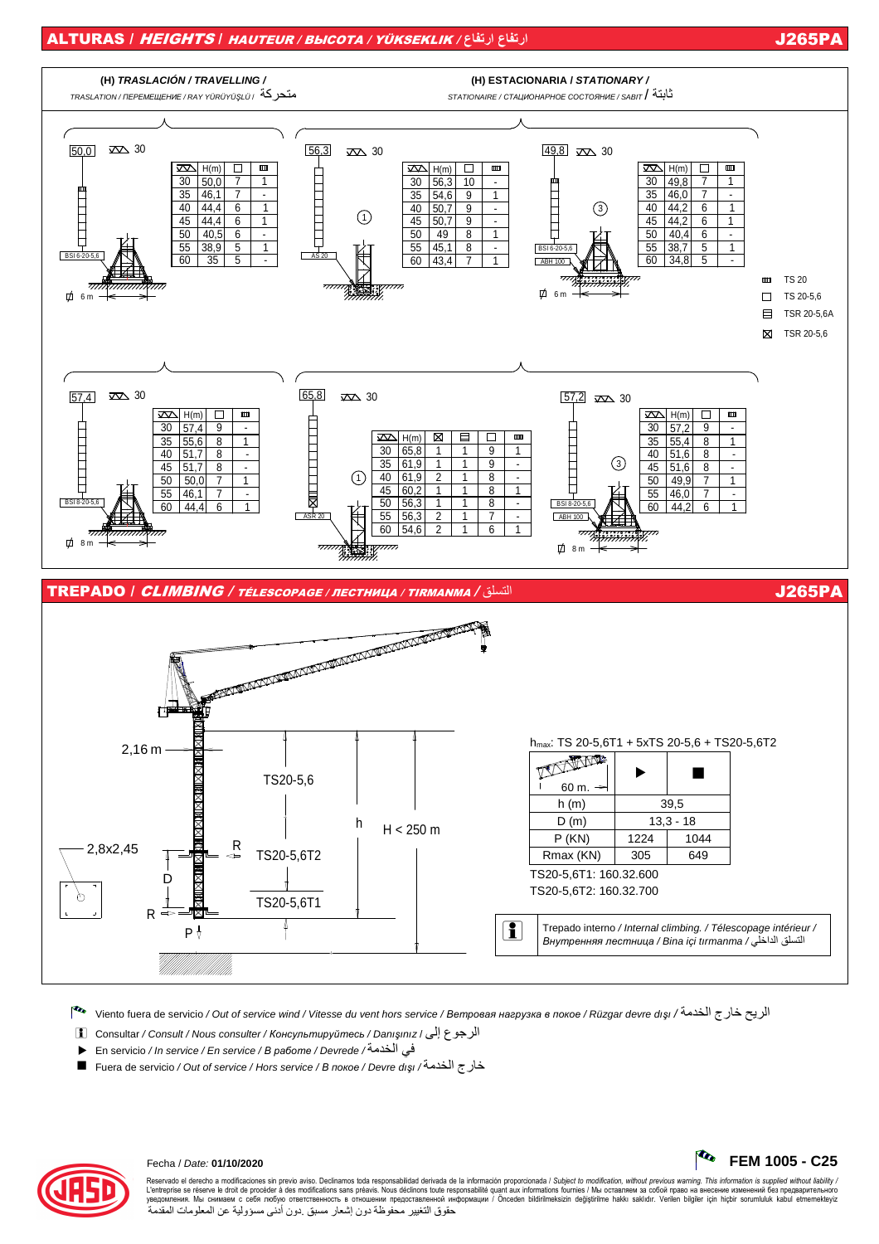### ALTURAS / HEIGHTS / HAUTEUR / ВЫСОТА / YÜKSEKLIK / **ارتفاع ارتفاع** J265PA



Viento fuera de servicio / Out of service wind / Vitesse du vent hors service / *Ветровая нагрузка <sup>в</sup> покое* / Rüzgar devre dı*ş*ı / الخدمة خارج الريح

- i Consultar / Consult / Nous consulter / *Консультируйтесь* / Danı*ş*ınız / إلى الرجوع
- · En servicio / In service / En service / *<sup>В</sup> работе* / Devrede / الخدمة في
- Fuera de servicio / Out of service / Hors service / *<sup>В</sup> покое* / Devre dı*ş*ı / الخدمة خارج



Reservado el derecho a modificaciones sin previo aviso. Declinamos toda responsabilidad derivada de la información proporcionada / Subjec*t to modification, without previous warning. This information is supplied without l* حقوق التغيير محفوظة دون إشعار مسبق .دون أدنى مسؤولية عن المعلومات المقدمة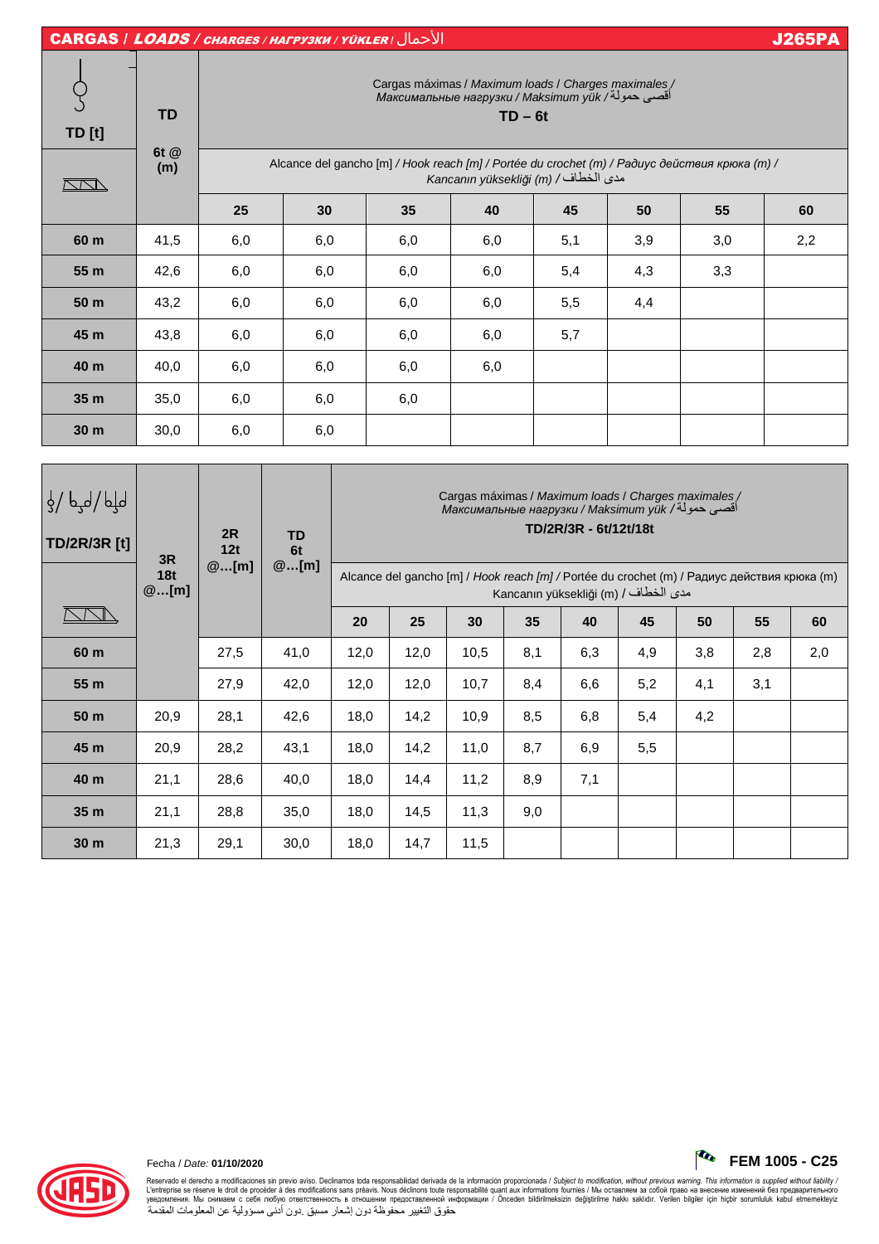| <b>CARGAS / LOADS / CHARGES / HALPY3KU / YÜKLER / JUSTER</b> |                          |                                                                                                                                                                                                                                                                  |     |     |     |     |     |     | <b>J265PA</b> |  |
|--------------------------------------------------------------|--------------------------|------------------------------------------------------------------------------------------------------------------------------------------------------------------------------------------------------------------------------------------------------------------|-----|-----|-----|-----|-----|-----|---------------|--|
| <b>TD</b> [t]                                                | <b>TD</b><br>6t @<br>(m) | / Cargas máximas / Maximum loads / Charges maximales<br>أقصىي حمولة/ Максимальные нагрузки / Maksimum yük<br>$TD - 6t$<br>Alcance del gancho [m] / Hook reach [m] / Portée du crochet (m) / Paðuyc действия крюка (m) /<br>Kancanın yüksekliği (m) / امدى الخطاف |     |     |     |     |     |     |               |  |
|                                                              | <b>RADI</b>              |                                                                                                                                                                                                                                                                  |     |     |     |     |     |     |               |  |
|                                                              |                          | 25                                                                                                                                                                                                                                                               | 30  | 35  | 40  | 45  | 50  | 55  | 60            |  |
| 60 m                                                         | 41,5                     | 6,0                                                                                                                                                                                                                                                              | 6,0 | 6,0 | 6,0 | 5,1 | 3,9 | 3,0 | 2,2           |  |
| 55 m                                                         | 42,6                     | 6,0                                                                                                                                                                                                                                                              | 6,0 | 6,0 | 6,0 | 5,4 | 4,3 | 3,3 |               |  |
| 50 m                                                         | 43,2                     | 6,0                                                                                                                                                                                                                                                              | 6,0 | 6,0 | 6,0 | 5,5 | 4,4 |     |               |  |
| 45 m                                                         | 43,8                     | 6,0                                                                                                                                                                                                                                                              | 6,0 | 6,0 | 6,0 | 5,7 |     |     |               |  |
| 40 m                                                         | 40,0                     | 6,0                                                                                                                                                                                                                                                              | 6,0 | 6,0 | 6,0 |     |     |     |               |  |
| 35 <sub>m</sub>                                              | 35,0                     | 6,0                                                                                                                                                                                                                                                              | 6,0 | 6,0 |     |     |     |     |               |  |
| 30 <sub>m</sub>                                              | 30,0                     | 6,0                                                                                                                                                                                                                                                              | 6,0 |     |     |     |     |     |               |  |
|                                                              |                          |                                                                                                                                                                                                                                                                  |     |     |     |     |     |     |               |  |

| <b>TD/2R/3R [t]</b> | 3R<br>18t | 2R<br>12t<br>@[m] | <b>TD</b><br>6t<br>@[m] | Cargas máximas / Maximum loads / Charges maximales /<br>Максимальные нагрузки / Maksimum yük /أقصبي حمولة/<br>TD/2R/3R - 6t/12t/18t |      |      |     |     |     |     |     |     |
|---------------------|-----------|-------------------|-------------------------|-------------------------------------------------------------------------------------------------------------------------------------|------|------|-----|-----|-----|-----|-----|-----|
|                     | @[m]      |                   |                         | Alcance del gancho [m] / Hook reach [m] / Portée du crochet (m) / Радиус действия крюка (m)<br>Kancanın yüksekliği (m) / مدى الخطاف |      |      |     |     |     |     |     |     |
|                     |           |                   |                         | 20                                                                                                                                  | 25   | 30   | 35  | 40  | 45  | 50  | 55  | 60  |
| 60 m                |           | 27,5              | 41,0                    | 12,0                                                                                                                                | 12,0 | 10,5 | 8,1 | 6,3 | 4,9 | 3,8 | 2,8 | 2,0 |
| 55 m                |           | 27,9              | 42,0                    | 12,0                                                                                                                                | 12,0 | 10,7 | 8,4 | 6,6 | 5,2 | 4,1 | 3,1 |     |
| 50 m                | 20,9      | 28,1              | 42,6                    | 18,0                                                                                                                                | 14,2 | 10,9 | 8,5 | 6,8 | 5,4 | 4,2 |     |     |
| 45 m                | 20,9      | 28,2              | 43,1                    | 18,0                                                                                                                                | 14,2 | 11,0 | 8,7 | 6,9 | 5,5 |     |     |     |
| 40 m                | 21,1      | 28,6              | 40,0                    | 18,0                                                                                                                                | 14,4 | 11,2 | 8,9 | 7,1 |     |     |     |     |
| 35 m                | 21,1      | 28,8              | 35,0                    | 18,0                                                                                                                                | 14,5 | 11,3 | 9,0 |     |     |     |     |     |
| 30 m                | 21,3      | 29,1              | 30,0                    | 18,0                                                                                                                                | 14,7 | 11,5 |     |     |     |     |     |     |



Reservado el derecho a modificaciones sin previo aviso. Declinamos toda responsabilidad derivada de la información proporcionada / Subjec*t to modification, without previous warning. This information is supplied without*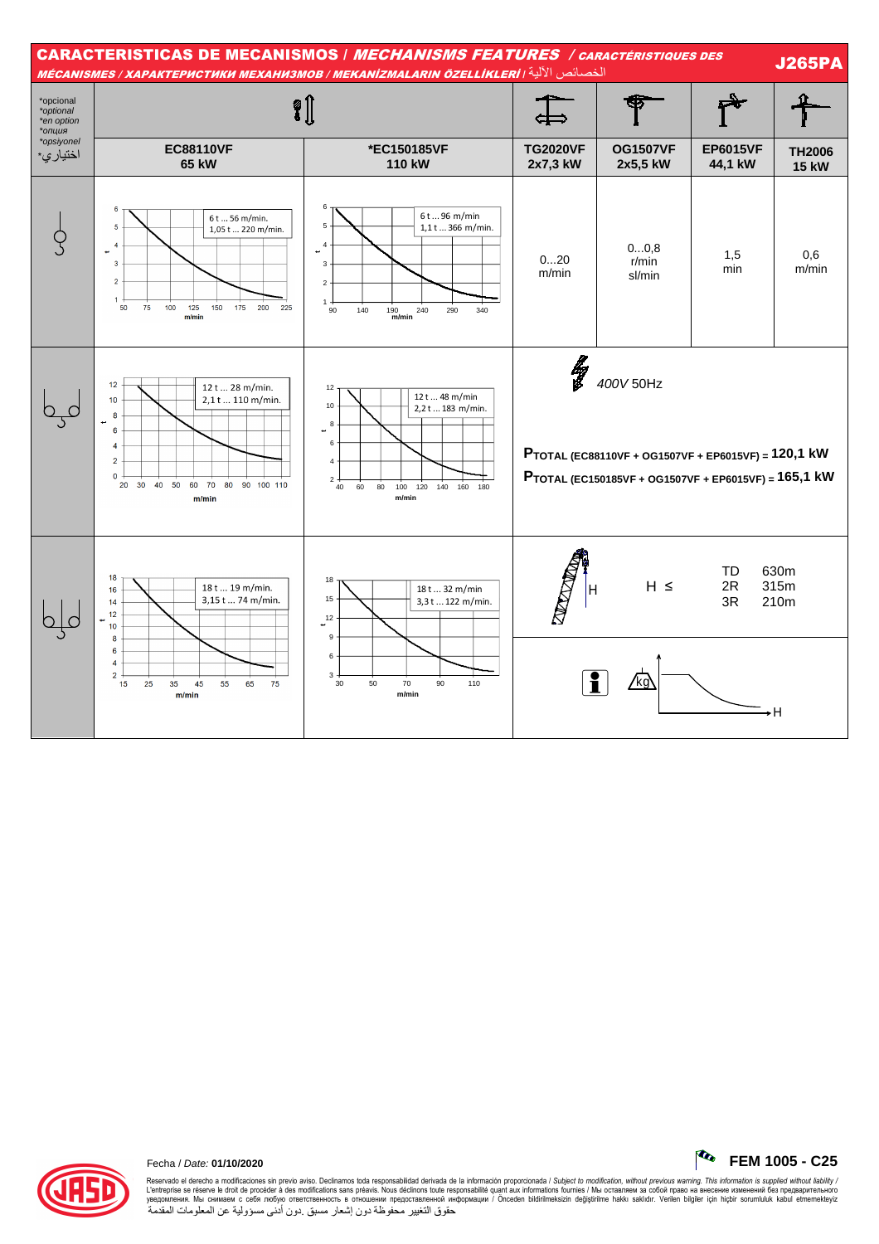



## Fecha / Date: **01/10/2020 FEM 1005 - C25**

Reservado el derecho a modificaciones sin previo aviso. Declinamos toda responsabilidad derivada de la información proporcionada / Subjec*t to modification, without previous warning. This information is supplied without l* حقوق التغيير محفوظة دون إشعار مسبق .دون أدنى مسؤولية عن المعلومات المقدمة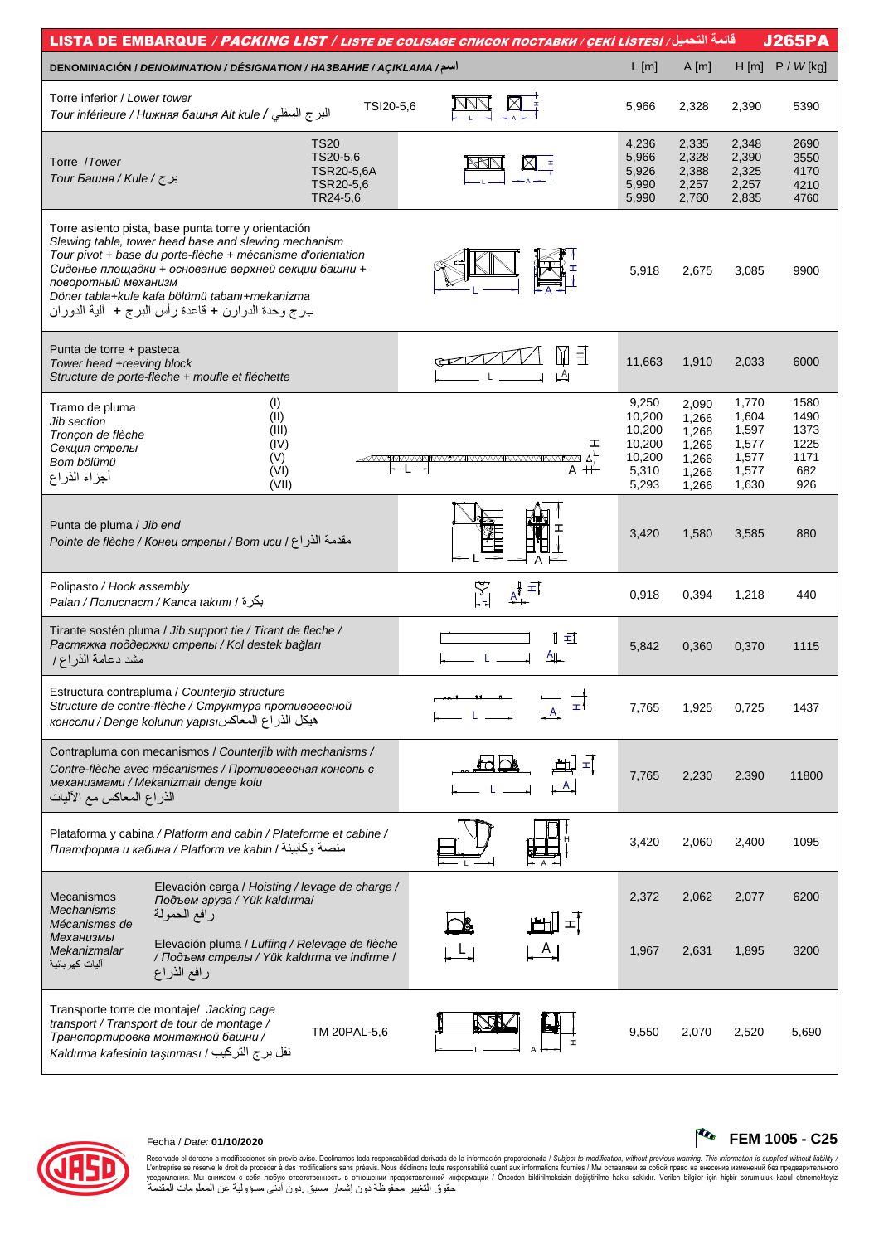| قائمة التحميل/ LISTA DE EMBARQUE / PACKING LIST / LISTE DE COLISAGE CПИСОК ПОСТАВКИ / ÇEKİ LISTESİ                                                                                                                                                                                                                                                              |                                     |                                                                 |                                                             |                                                             | <b>J265PA</b>                                      |
|-----------------------------------------------------------------------------------------------------------------------------------------------------------------------------------------------------------------------------------------------------------------------------------------------------------------------------------------------------------------|-------------------------------------|-----------------------------------------------------------------|-------------------------------------------------------------|-------------------------------------------------------------|----------------------------------------------------|
| DENOMINACIÓN / DENOMINATION / DÉSIGNATION / HA3BAHUE / AÇIKLAMA /سم/                                                                                                                                                                                                                                                                                            |                                     | $L$ [m]                                                         | A[m]                                                        | H[m]                                                        | $P / W$ [kg]                                       |
| Torre inferior / Lower tower<br>TSI20-5,6<br>البرج السفلي / Tour inférieure / Нижняя башня Alt kule                                                                                                                                                                                                                                                             |                                     | 5,966                                                           | 2,328                                                       | 2,390                                                       | 5390                                               |
| <b>TS20</b><br>TS20-5,6<br>Torre /Tower<br>TSR20-5,6A<br>برج / Tour Башня / Kule /<br>TSR20-5,6<br>TR24-5,6                                                                                                                                                                                                                                                     |                                     | 4,236<br>5,966<br>5,926<br>5,990<br>5,990                       | 2,335<br>2,328<br>2,388<br>2,257<br>2,760                   | 2,348<br>2,390<br>2,325<br>2,257<br>2,835                   | 2690<br>3550<br>4170<br>4210<br>4760               |
| Torre asiento pista, base punta torre y orientación<br>Slewing table, tower head base and slewing mechanism<br>Tour pivot + base du porte-flèche + mécanisme d'orientation<br>Сиденье площадки + основание верхней секции башни +<br>поворотный механизм<br>Döner tabla+kule kafa bölümü tabanı+mekanizma<br>بـرج وحدة الدوارن + قاعدة رأس البرج + ألية الدوران |                                     | 5,918                                                           | 2,675                                                       | 3,085                                                       | 9900                                               |
| Punta de torre + pasteca<br>Tower head +reeving block<br>Structure de porte-flèche + moufle et fléchette                                                                                                                                                                                                                                                        | M<br>됙<br>$\downarrow$ <sup>A</sup> | 11,663                                                          | 1,910                                                       | 2,033                                                       | 6000                                               |
| (1)<br>Tramo de pluma<br>(II)<br>Jib section<br>(III)<br>Tronçon de flèche<br>(IV)<br>Секция стрелы<br>(V)<br>Bom bölümü<br>⊢L →<br>(VI)<br>أجزاء الذراع<br>(VII)                                                                                                                                                                                               | ェ<br>$A + \frac{1}{2}$              | 9,250<br>10,200<br>10,200<br>10,200<br>10,200<br>5,310<br>5,293 | 2,090<br>1.266<br>1,266<br>1,266<br>1,266<br>1,266<br>1,266 | 1,770<br>1,604<br>1,597<br>1,577<br>1,577<br>1,577<br>1,630 | 1580<br>1490<br>1373<br>1225<br>1171<br>682<br>926 |
| Punta de pluma / Jib end<br>مقدمة الذراع / Вот иси / Вотвед / Голне de flèche / Конец стрелы                                                                                                                                                                                                                                                                    | A                                   | 3,420                                                           | 1,580                                                       | 3,585                                                       | 880                                                |
| Polipasto / Hook assembly<br>بكرة / Palan / Полиспаст / Kanca takımı / أ                                                                                                                                                                                                                                                                                        | 再                                   | 0,918                                                           | 0,394                                                       | 1,218                                                       | 440                                                |
| Tirante sostén pluma / Jib support tie / Tirant de fleche /<br>Растяжка поддержки стрелы / Kol destek bağları<br>مشد دعامة الذراع/                                                                                                                                                                                                                              | ∏ ≖⊺<br><u>一</u>                    | 5,842                                                           | 0,360                                                       | 0,370                                                       | 1115                                               |
| Estructura contrapluma / Counterjib structure<br>Structure de contre-flèche / Структура противовесной<br>консоли / Denge kolunun yapısı المعاكس                                                                                                                                                                                                                 |                                     | 7,765                                                           | 1,925                                                       | 0,725                                                       | 1437                                               |
| Contrapluma con mecanismos / Counterjib with mechanisms /<br>Contre-flèche avec mécanismes / Противовесная консоль с<br>механизмами / Mekanizmalı denge kolu<br>الذراع المعاكس مع الأليات                                                                                                                                                                       | $\pm$<br>$\mathsf{A}$               | 7,765                                                           | 2,230                                                       | 2.390                                                       | 11800                                              |
| Plataforma y cabina / Platform and cabin / Plateforme et cabine /<br>платформа и кабина / Platform ve kabin / منصة وكابينة                                                                                                                                                                                                                                      |                                     | 3,420                                                           | 2,060                                                       | 2,400                                                       | 1095                                               |
| Elevación carga / Hoisting / levage de charge /<br><b>Mecanismos</b><br>Подъем груза / Yük kaldırma/<br>Mechanisms<br>رافع الحمولة                                                                                                                                                                                                                              |                                     | 2,372                                                           | 2,062                                                       | 2,077                                                       | 6200                                               |
| Mécanismes de<br>Механизмы<br>Elevación pluma / Luffing / Relevage de flèche<br>Mekanizmalar<br>/ Подъем стрелы / Yük kaldırma ve indirme /<br>آليات كهر بائية<br>رافع الذراع                                                                                                                                                                                   | 피                                   | 1,967                                                           | 2,631                                                       | 1,895                                                       | 3200                                               |
| Transporte torre de montaje/ Jacking cage<br>transport / Transport de tour de montage /<br>TM 20PAL-5,6<br>Транспортировка монтажной башни /<br>نقل برج التركيب / Kaldırma kafesinin taşınması                                                                                                                                                                  |                                     | 9,550                                                           | 2,070                                                       | 2,520                                                       | 5,690                                              |



# Fecha / Date: **01/10/2020 FEM 1005 - C25**

Reservado el derecho a modificaciones sin previo aviso. Declinamos toda responsabilidad derivada de la información proporcionada / Subjec*t to modification, without previous warning. This information is supplied without*